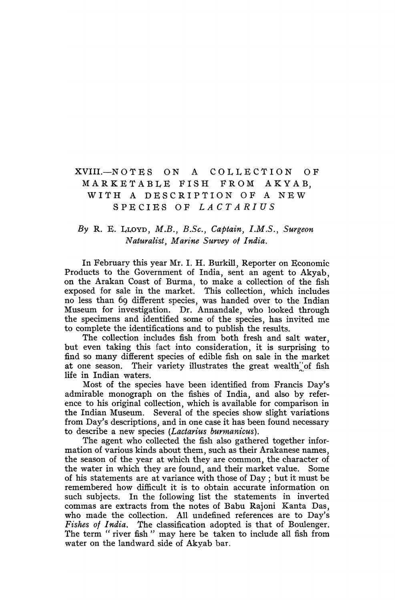# XVIII.-NOTES ON A COLLECTION OF MARKETABLE FISH FROM AKYAB, WITH A DESCRIPTION OF A NEW SPECIES OF *LACTARIUS*

# *By* R. E. LLOYD, *M.B., B.Sc., Captain, I.M.S., Surgeon Naturalist*, *Marine Survey of India.*

In February this year Mr. I. H. Burkill, Reporter on Economic Products to the Government of India, sent an agent to Akyab, on the Arakan Coast of Burma, to make a collection of the fish exposed for sale in the market. This collection, which includes no less than 69 different species, was handed over to the Indian Museum for investigation. Dr. Annandale, who looked through the specimens and identified some of the species, has invited me to complete the identifications and to publish the results.

The collection includes fish from both fresh and salt water, but even taking this fact into consideration, it is surprising to find so many different species of edible fish on sale in the market at one season. Their variety illustrates the great wealth"of fish life in Indian waters.

Most of the species have been identified from Francis Day's admirable monograph on the fishes of India, and also by reference to his original collection, which is available for comparison in the Indian Museum. Several of the species show slight variations from Day's descriptions, and in one case it has been found necessary to describe a new species *(Lactarius burmanicus).* 

The agent who collected the fish also gathered together information of various kinds about them, such as their Arakanese names, the season of the year at which they are common, the character of the water in which they are found, and their market value. Some of his statements are at variance with those of Day; but it must be remembered how difficult it is to obtain accurate information on such subjects. In the following list the statements in inverted commas are extracts from the notes of Babu Rajoni Kanta Das, who made the collection. All undefined references are to Day's Fishes of India. The classification adopted is that of Boulenger. The term "river fish" may here be taken to include all fish from water on the landward side of Akyab bar.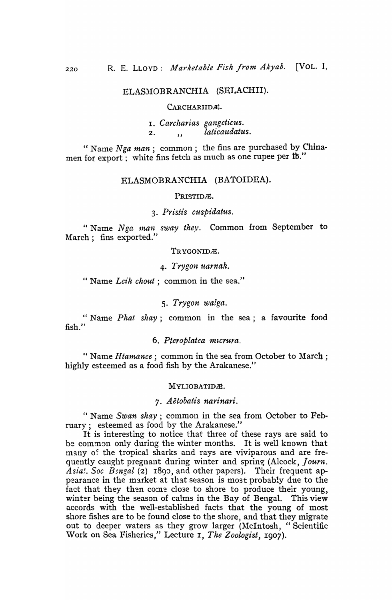# ELASMOBRANCHIA (SELACHII).

#### CARCHARIIDÆ.

I. *Carcharias gangeticus.*  2. , *laticaudatus*.

" Name *Nga man* ; common ; the fins are purchased by Chinamen for export; white fins fetch as much as one rupee per lb."

## ELASMOBRANCHIA (BATOIDEA).

#### PRISTIDÆ.

## *3. Pr isl'is cuspidatus.*

" Name *Nga man sway they*. Common from September to March; fins exported."

### TRYGONIDÆ.

### *4. Trygon uarnak .*

•• Name *Lcik chout;* common in the sea."

## *5. Trygon walga.*

"Name *Phat shay;* common in the sea; a favourite food fish."

## 6. Pteroplatea micrura.

" Name *Htamanee;* common in the sea from October to March; highly esteemed as a food fish by the Arakanese."

#### MYLIOBATIDÆ.

## *7. Aetobatis narlnari.*

" Name *Swan shay;* common in the sea from October to February; esteemed as food by the Arakanese."

It is interesting to notice that three of these rays are said to be common only during the winter months. It is well known that many of the tropical sharks and rays are viviparous and are frequently caught pregnant during winter and spring (Alcock, Journ.  $\tilde{A}$ sia!. Soc  $B_{2n}$ gal (2) 1890, and other papers). Their frequent appearance in the market at that season is most probably due to the fact that they then come close to shore to produce their young, winter being the season of calms in the Bay of Bengal. This view accords with the well-established facts that the young of most shore fishes are to be found close to the shore, and that they migrate out to deeper waters as they grow larger (McIntosh, "Scientific Work on Sea Fisheries," Lecture I, *The Zoologist,* I907).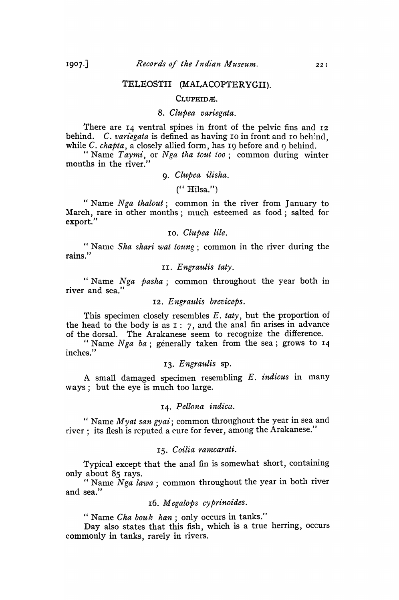## TELEOSTII (MALACOPTERYGII).

#### CLUPEID<sub>A</sub>.

## *8. Clupea variegata.*

There are 14 ventral spines in front of the pelvic fins and 12 behind. C. *variegata* is defined as having 10 in front and 10 behind, while C. *chapta*, a closely allied form, has 19 before and 9 behind.

"Name *Taymi,* or *Nga tlla tout too;* common during winter months in the river.'

## 9. *Clupea ilisha.*

 $('' Hilsa.'')$ 

" Name *Nga thalout*; common in the river from January to March, rare in other months; much esteemed as food; salted for export."

### 10. Clupea lile.

" Name Sha shari wat toung; common in the river during the rains."

## II. *Engraulis taty.*

" Name *Nga pasha*; common throughout the year both in river and sea."

## 12. Engraulis breviceps.

This specimen closely resembles E. *taty,* but the proportion of the head to the body is as I: 7, and the anal fin arises in advance of the dorsal. The Arakanese seem to recognize the difference.

" Name Nga ba; generally taken from the sea; grows to 14 inches."

### *13. Engraulis* sp.

A small damaged specimen resembling E. *indicus* in many ways; but the eye is much too large.

## *14. Pellona indica.*

" Name Myat san gyai; common throughout the year in sea and river; its flesh is reputed a cure for fever, among the Arakanese."

### *IS. Coilia ramcarati.*

Typical except that the anal fin is somewhat short, containing only about 85 rays.

" Name *Nga lawa;* common throughout the year in both river and sea."

## 16. *Megalops cyprinoides.*

" Name *Cha bouk han;* only occurs in tanks."

Day also states that this fish, which is a true herring, occurs commonly in tanks, rarely in rivers.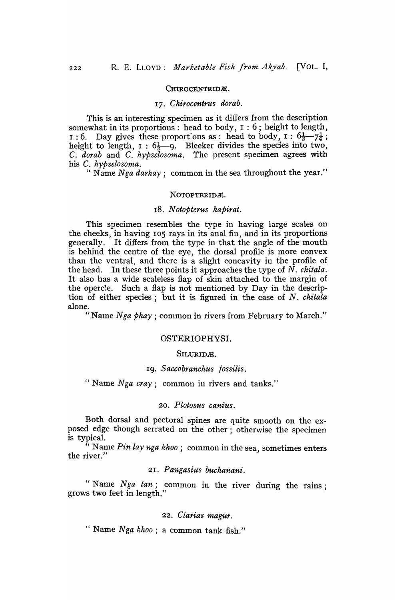## CHIROCENTRIDÆ.

#### *17. Chirocentrus dorab.*

This is an interesting specimen as it differs from the description somewhat in its proportions: head to body,  $1 : 6$ ; height to length, 1 : 6. Day gives these proportions as : head to body,  $\mathbf{1}: 6\frac{1}{2} - 7\frac{1}{4}$ ; height to length,  $I : 6\frac{1}{2} - 9$ . Bleeker divides the species into two, C. *dorab* and C. *hypselosoma.* The present specimen agrees with his C. *hypselosoma.* 

" Name *Nga darhay;* common in the sea throughout the year."

#### NOTOPTERIDA.

## *18. Notopterus kapirat.*

This specimen resembles the type in having large scales on the cheeks, in having 105 rays in its anal fin, and in its proportions generally. It differs from the type in that the angle of the mouth is behind the centre of the eye, the dorsal profile is more convex than the ventral, and there is a slight concavity in the profile of the head. In these three points it approaches the type of N. *chitala.*  It also has a wide scaleless flap of skin attached to the margin of the opercle. Such a flap is not mentioned by Day in the description of either species; but it is figured in the case of N. *chitala*  alone.

"Name *Nga phay* ; common in rivers from February to March."

### OSTERIOPHVSI.

#### SILURIDÆ.

#### 19. *Saccobranchus tossilis.*

" Name *Nga cray*; common in rivers and tanks."

## *20. P lotosus canius.*

Both dorsal and pectoral spines are quite smooth on the exposed edge though serrated on the other; otherwise the specimen is typical.

" Name *Pin lay nga khoo*; common in the sea, sometimes enters the river."  $\qquad \qquad$  ,  $\qquad \qquad$  ,  $\qquad \qquad$  ,  $\qquad \qquad$  ,  $\qquad \qquad$  ,  $\qquad \qquad$  ,  $\qquad \qquad$  ,  $\qquad \qquad$  ,  $\qquad \qquad$  ,  $\qquad \qquad$  ,  $\qquad \qquad$  ,  $\qquad \qquad$  ,  $\qquad \qquad$  ,  $\qquad \qquad$  ,  $\qquad \qquad$  ,  $\qquad \qquad$  ,  $\qquad \qquad$  ,  $\qquad \qquad$  ,  $\qquad \qquad$  ,

## *21. Pangasius buchanani.*

"Name *Nga tan;* common in the river during the rains; grows two feet in length."

## *22. Clarias magur.*

" Name *Nga khoo;* a common tank fish."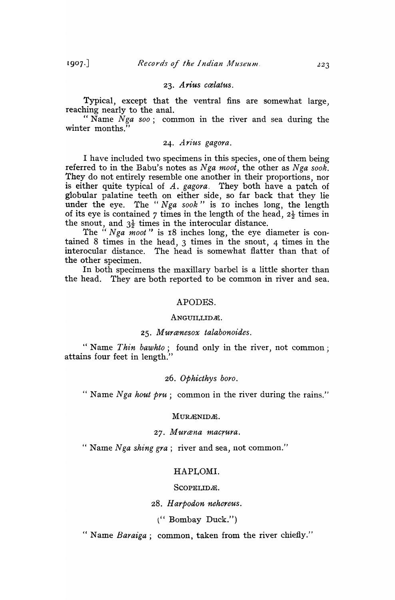$1907.$ 

### 23. Arius cælatus.

Typical, except that the ventral fins are somewhat large, reaching nearly to the anal.

" Name *Nga soo*; common in the river and sea during the winter months.<sup>"</sup>

## 24. Arius gagora.

I have included two specimens in this species, one of them being referred to in the Babu's notes as *Nga moot*, the other as *Nga sook*. They do not entirely resemble one another in their proportions, nor is either quite typical of *A. gagora.* They both have a patch of globular palatine teeth on either side, so far back that they lie under the eye. The " Nga sook" is 10 inches long, the length of its eye is contained 7 times in the length of the head,  $2\frac{1}{2}$  times in the snout, and  $3\frac{1}{2}$  times in the interocular distance.

The " *Nga moot*" is 18 inches long, the eye diameter is contained 8 times in the head, 3 times in the snout, 4 times in the interocular distance. The head is somewhat flatter than that of the other specimen.

In both specimens the maxillary barbel is a little shorter than the head. They are both reported to be common in river and sea.

#### APODES.

#### ANGUILLIDÆ.

### *25. Murcenesox talabonoides.*

" Name *Thin bawhto;* found only in the river, not common; attains four feet in length."

### *26. OPhicthys boro.*

" Name *Nga hout pru;* common in the river during the rains."

#### MURÆNIDÆ.

### *27. Murcena macrura.*

" Name *Nga shing gra;* river and sea, not common."

#### HAPLOMI.

#### SCOPELIDÆ.

*28. Harpodon nehereus.* 

l" Bombay Duck.")

" Name *Baraiga*; common, taken from the river chiefly."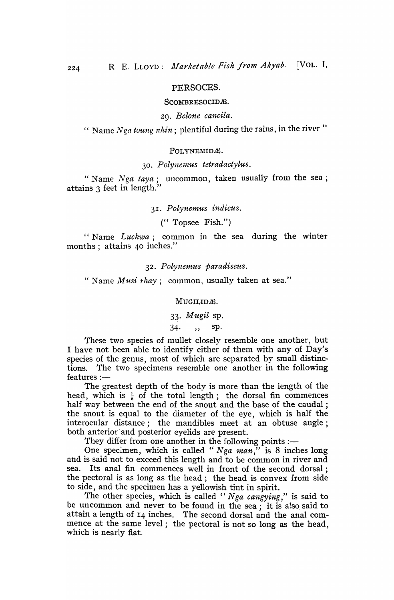## PERSOCES.

#### SCOMBRESOCIDE.

### *29. Belone cancila.*

" Name *Nga toung nhin*; plentiful during the rains, in the river"

#### POLYNEMIDÆ.

#### *30 . Polyne1nus tetra dactylus* .

" Name  $Nga\;taya$ ; uncommon, taken usually from the sea; attains 3 feet in length.'

*31. Polynemus indicus.* 

(" Topsee Fish.")

"Name *Luckwa;* common in the sea during the winter months; attains 40 inches."

*32. Polynemus paradiseus.* 

" Name *Musi rhay*; common, usually taken at sea."

## MUGILIDÆ.

# 3~. *Mugil* sp.

34., sp.

These two species of mullet closely resemble one another, but I have not been able to identify either of them with any of Day's species of the genus, most of which are separated by small distinctions. The two specimens resemble one another in the following features :-

The greatest depth of the body is more than the iength of the head, which is  $\frac{1}{6}$  of the total length; the dorsal fin commences half way between the end of the snout and the base of the caudal; the snout is equal to the diameter of the eye, which is half the interocular distance; the mandibles meet at an obtuse angle; both anterior and posterior eyelids are present.

They differ from one another in the following points :-

One specimen, which is called "Nga man," is 8 inches long and is said not to exceed this length and to be common in river and sea. Its anal fin commences well in front of the second dorsal; the pectoral is as long as the head; the head is convex from side to side, and the specimen has a yellowish tint in spirit.

The other species, which is called " Nga cangying," is said to be uncommon and never to be found in the sea; it is also said to attain a length of 14 inches. The second dorsal and the anal commence at the same level; the pectoral is not so long as the head, which is nearly flat.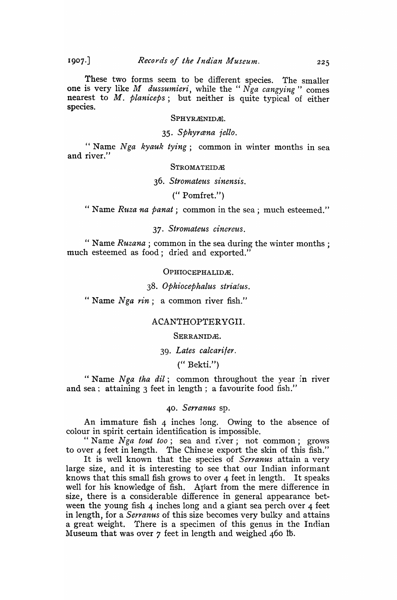These two forms seem to be different species. The smaller one is very like *M dussumieri,* while the " *N ga cangying"* comes nearest to M. *planiceps;* but neither is quite typical of either species.

### SPHYRÆNIDÆ.

*35. Sphyrcena iello.* 

" Name Nga kyauk tying; common in winter months in sea and river."

## STROMATEIDÆ

## *36. Stromate'Us sinensis.*

 $($ " Pomfret." $)$ 

" Name *Ruza na panat*; common in the sea; much esteemed."

## *37. Stro11'tateus cinereus.*

" Name *Ruzana* ; common in the sea during the winter months; much esteemed as food; dried and exported."

OPHIOCEPHALIDÆ.

## *38. Ophiocephalus striatus.*

" Name *Nga rin*; a common river fish."

## ACANTHOPTERYGII.

#### SERRANIDÆ.

## *39. Lates calcarifer.*

(" Bekti.")

"Name *Nga tha* dit; common throughout the year in river and sea; attaining 3 feet in length; a favourite food fish."

#### *40. Serranus* sp.

An immature fish 4 inches long. Owing to the absence of colour in spirit certain identification is impossible.

" Name *Nga tout too*; sea and river; not common; grows to over 4 feet in length. The Chinese export the skin of this fish."

It is well known that the species of *Serranus* attain a very large size, and it is interesting to see that our Indian informant knows that this small fish grows to over 4 feet in length. It speaks well for his knowledge of fish. Apart from the mere difference in size, there is a considerable difference in general appearance between the young fish 4 inches long and a giant sea perch over 4 feet in length, for a *Serranus* of this size becomes very bulky and attains a great weight. There is a specimen of this genus in the Indian Museum that was over  $\gamma$  feet in length and weighed 460 lb.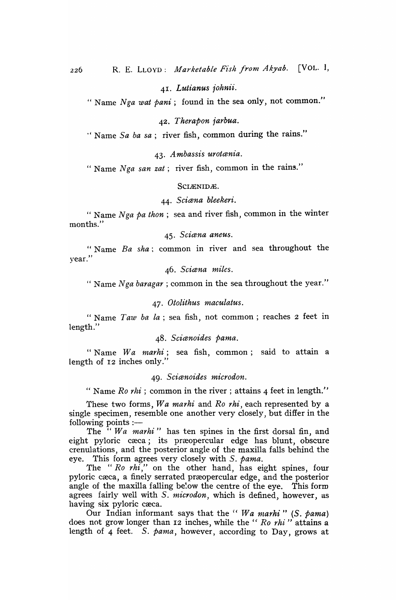41. Lutianus *iohnii*.

" Name *Nga wat pani;* found in the sea only, not common."

*42 • Therapon jarbua.* 

" Name *Sa ba sa;* river fish, common during the rains."

*43, A mbassis urotcenia.* 

" Name *Nga san zat*; river fish, common in the rains."

SCIÆNIDÆ.

44. *Scicena bleekeri.* 

" Name *Nga pa thon;* sea and river fish, common in the winter months."

*45. Scicena aneus.* 

"Name *Ba sha;* common in river and sea throughout the year."

46. *Scicena miles.* 

" Name *Nga baragar* ; common in the sea throughout the year."

*47. Otolithus maculatus.* 

" Name *Taw ba la*; sea fish, not common; reaches 2 feet in length."

48. *Scicenoides panta.* 

" Name *Wa marhi*; sea fish, common; said to attain a length of 12 inches only."

#### *49. Scicenoides microdon.*

" Name *Ro rhi*; common in the river; attains 4 feet in length."

These two forms, *Wa marhi* and *Ro rhi,* each represented by a single specimen, resemble one another very closely, but differ in the following points  $:$   $-$ 

The *"Wa marhi"* has ten spines in the first dorsal fin, and eight pyloric cæca; its præopercular edge has blunt, obscure crenulations, and the posterior angie of the maxilla falls behind the eye. This form agrees very closely with S. *pama.* 

The "Ro rhi," on the other hand, has eight spines, four pyloric cæca, a finely serrated præopercular edge, and the posterior angle of the maxilla falling below the centre of the eye. This form agrees fairly well with S. *microdon,* which is defined, however, as having six pyloric cæca.

Our Indian informant says that the " Wa marhi " (S. pama) does not grow longer than 12 inches, while the "*Ro rhi*" attains a length of 4 feet. S. *pama*, however, according to Day, grows at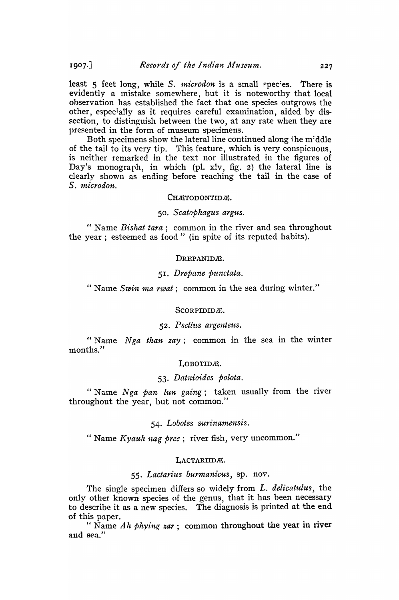least 5 feet long, while S. *microdon* is a small species. There is evidently a mistake somewhere, but it is noteworthy that local observation has established the fact that one species outgrows the other, especially as it requires careful examination, aided by dissection, to distinguish between the two, at any rate when they are presented in the form of museum specimens.

Both specimens show the lateral line continued along the middle of the tail to its very tip. This feature, which is very conspicuous, is neither remarked in the text nor illustrated in the figures of Day's monograph, in which (pl. xlv, fig. 2) the lateral line is clearly shown as ending before reaching the tail in the case of *S. microdon.* 

### CHÆTODONTIDÆ.

## *50. Scatophagus argus.*

" Name *Bishat tara*; common in the river and sea throughout the year; esteemed as food" (in spite of its reputed habits).

#### DREPANIDA.

## 51. *Drepane punctata.*

" Name *Swin ma rwat;* common in the sea during winter."

#### Scorpidid*i*t.

## 52. Psettus argenteus.

" Name *Nga than zay*; common in the sea in the winter months."

## LOBOTIDÆ.

## *53. Datnioides polota.*

" Name Nga pan lun gaing; taken usually from the river throughout the year, but not common."

## 54. *Lobotes surinamensis.*

" Name *Kyauk nag pree* ; river fish, very uncommon."

### LACTARIIDE.

## 55. Lactarius burmanicus, sp. nov.

The single specimen differs so widely from L. delicatulus, the only other known species of the genus, that it has been necessary to describe it as a new species. The diagnosis is printed at the end of this paper.

" Name Ah phying  $zar$ ; common throughout the year in river and sea."

 $1907.$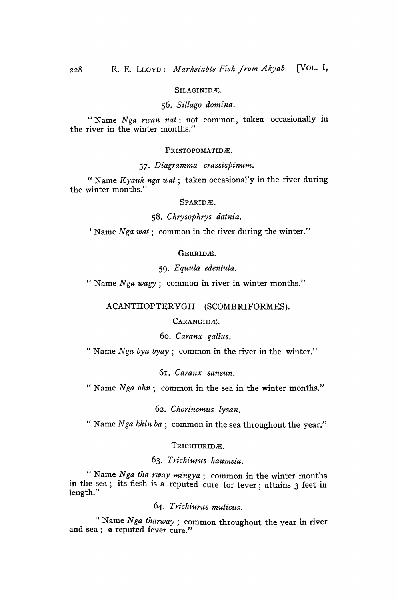### SILAGINIDÆ.

## *56. S£Uago domina.*

"Name Nga rwan nat; not common, taken occasionally in the river in the winter months."

#### PRISTOPOMATIDÆ.

### *57. Diagramma crassispinum.*

" Name *Kyauk nga wat*; taken occasionally in the river during the winter months."

## SPARIDÆ.

## *58. Chrysophrys datnia .*

" Name *Nga wat*; common in the river during the winter."

## GERRIDÆ.

## *59. Equula edentula.*

" Name *Nga wagy;* common in river in winter months."

ACANTHOPTERYGII (SCOMBRIFORMES).

CARANGIDÆ.

*60. Caranx gallus.* 

" Name *Nga bya byay*; common in the river in the winter."

## 61. *Caranx sansun.*

" Name *Nga ohn*; common in the sea in the winter months."

*62. Chorinemus lysan.* 

" Name *Nga khin ba*; common in the sea throughout the year."

## TRICHIURIDÆ.

## *63. Trichiurus haumela.*

" Name *Nga tlta rway mingya;* common in the winter months in the sea; its flesh is a reputed cure for fever; attains 3 feet in length."

*64· Trichiurus muticus.* 

'c Name *Nga tharway;* common throughout the year in river and sea; a reputed fever cure."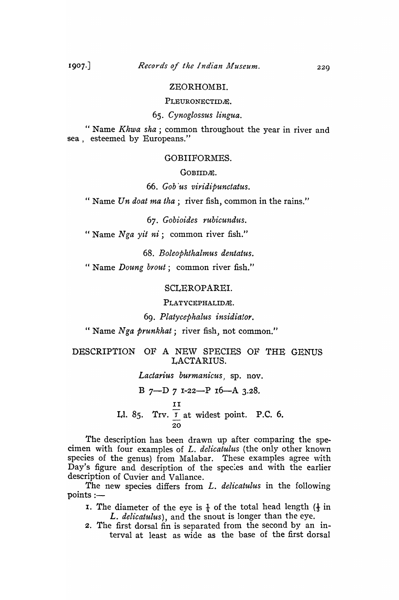## ZEORHOMBI.

PLEURONECTIDÆ.

*65. Cynoglossus lingua.* 

" Name *Khwa sha*; common throughout the year in river and sea, esteemed by Europeans."

#### GOBIIFORMES.

### GOBIIDÆ.

*66. Gob 'us viridipunctatus.* 

" Name *Un doat ma tha*; river fish, common in the rains."

*67. Gobioides rubicund'lts.* 

" Name *Nga yit ni*; common river fish."

*68. Boleophthalmus dentatus.* 

" Name *Doung brout*; common river fish."

## SCLEROPAREI.

PLATYCEPHALIDÆ.

## *69. Platycephalus insidiator.*

" Name *Nga prunkhat*; river fish, not common."

## DESCRIPTION OF A NEW SPECIES OF THE GENUS LACTARIUS.

*Lactarius burmanicus)* sp. nov.

B 7-D 7 1-22-P 16-A 3.28. .<br>II Ll. 85. Trv.  $\overline{I}$  at widest point. P.C. 6. 20

The description has been drawn up after comparing the specimen with four examples of *L. delicatulus* (the only other known species of the genus) from Malabar. These examples agree with Day's figure and description of the species and with the earlier description of Cuvier and Vallance.

The new species differs from *L. delicatulus* in the following points :-

- I. The diameter of the eye is  $\frac{1}{4}$  of the total head length ( $\frac{1}{3}$  in *L. delicatulus),* and the snout is longer than the eye.
- 2. The first dorsal fin is separated from the second by an interval at least as wide as the base of the first dorsal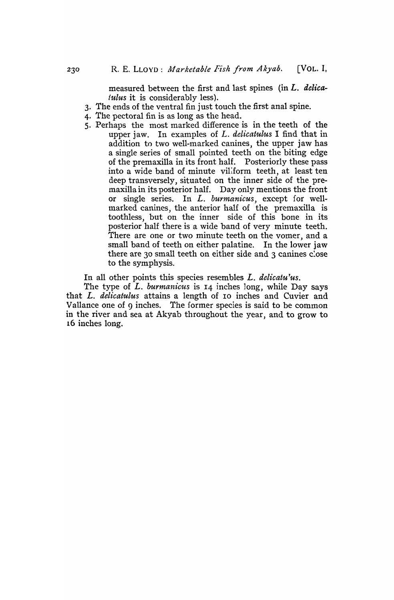measured between the first and last spines (in *L. delicatulus* it is considerably less).

- 3. The ends of the ventral fin just touch the first anal spine.
- 4. The pectoral fin is as long as the head.
- 5. Perhaps the most marked difference is in the teeth of the upper jaw. In examples of *L. delicatulus* I find that in addition to two well-marked canines, the upper jaw has a single series of small pointed teeth on the biting edge of the premaxilla in its front half. Posteriorly these pass into a wide band of minute viliform teeth, at least ten deep transversely, situated on the inner side of the premaxilla in its posterior half. Day only mentions the front or single series. In *L. burmanicus,* except for wellmarked canines, the anterior half of the premaxilla is toothless, but on the inner side of this bone in its posterior half there is a wide band of very minute teeth. There are one or two minute teeth on the vomer, and a small band of teeth on either palatine. In the lower jaw there are 30 small teeth on either side and 3 canines close to the symphysis.

In all other points this species resembles *L. delicatu 'us.* 

The type of *L. burmanicus* is I4 inches long, while Day says that *L. delicatulus* attains a length of 10 inches and Cuvier and Vallance one of 9 inches. The former species is said to be common in the river and sea at Akyab throughout the year, and to grow to 16 inches long.